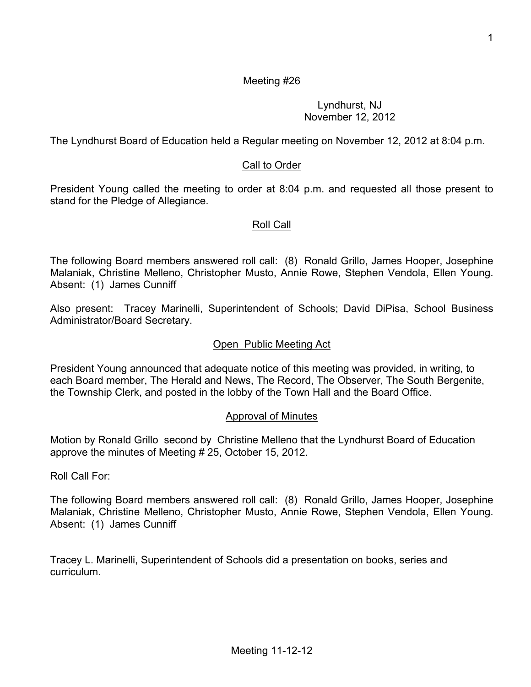#### Meeting #26

### Lyndhurst, NJ November 12, 2012

The Lyndhurst Board of Education held a Regular meeting on November 12, 2012 at 8:04 p.m.

### Call to Order

President Young called the meeting to order at 8:04 p.m. and requested all those present to stand for the Pledge of Allegiance.

#### Roll Call

The following Board members answered roll call: (8) Ronald Grillo, James Hooper, Josephine Malaniak, Christine Melleno, Christopher Musto, Annie Rowe, Stephen Vendola, Ellen Young. Absent: (1) James Cunniff

Also present: Tracey Marinelli, Superintendent of Schools; David DiPisa, School Business Administrator/Board Secretary.

#### Open Public Meeting Act

President Young announced that adequate notice of this meeting was provided, in writing, to each Board member, The Herald and News, The Record, The Observer, The South Bergenite, the Township Clerk, and posted in the lobby of the Town Hall and the Board Office.

#### Approval of Minutes

Motion by Ronald Grillo second by Christine Melleno that the Lyndhurst Board of Education approve the minutes of Meeting # 25, October 15, 2012.

Roll Call For:

The following Board members answered roll call: (8) Ronald Grillo, James Hooper, Josephine Malaniak, Christine Melleno, Christopher Musto, Annie Rowe, Stephen Vendola, Ellen Young. Absent: (1) James Cunniff

Tracey L. Marinelli, Superintendent of Schools did a presentation on books, series and curriculum.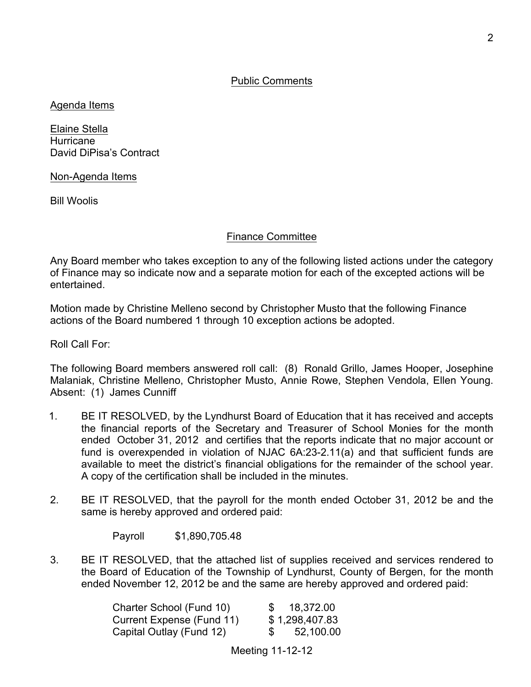# Public Comments

# Agenda Items

Elaine Stella **Hurricane** David DiPisa's Contract

Non-Agenda Items

Bill Woolis

## Finance Committee

Any Board member who takes exception to any of the following listed actions under the category of Finance may so indicate now and a separate motion for each of the excepted actions will be entertained.

Motion made by Christine Melleno second by Christopher Musto that the following Finance actions of the Board numbered 1 through 10 exception actions be adopted.

Roll Call For:

The following Board members answered roll call: (8) Ronald Grillo, James Hooper, Josephine Malaniak, Christine Melleno, Christopher Musto, Annie Rowe, Stephen Vendola, Ellen Young. Absent: (1) James Cunniff

- 1. BE IT RESOLVED, by the Lyndhurst Board of Education that it has received and accepts the financial reports of the Secretary and Treasurer of School Monies for the month ended October 31, 2012 and certifies that the reports indicate that no major account or fund is overexpended in violation of NJAC 6A:23-2.11(a) and that sufficient funds are available to meet the district's financial obligations for the remainder of the school year. A copy of the certification shall be included in the minutes.
- 2. BE IT RESOLVED, that the payroll for the month ended October 31, 2012 be and the same is hereby approved and ordered paid:

Payroll \$1,890,705.48

3. BE IT RESOLVED, that the attached list of supplies received and services rendered to the Board of Education of the Township of Lyndhurst, County of Bergen, for the month ended November 12, 2012 be and the same are hereby approved and ordered paid:

| Charter School (Fund 10)  | 18,372.00      |
|---------------------------|----------------|
| Current Expense (Fund 11) | \$1,298,407.83 |
| Capital Outlay (Fund 12)  | 52,100.00      |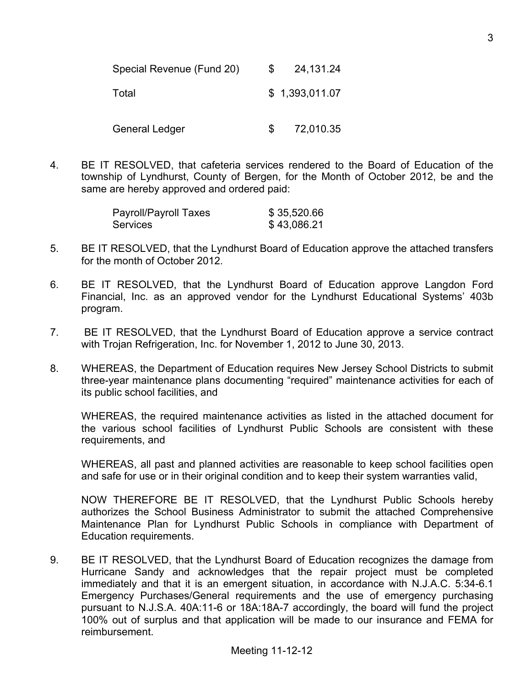| Special Revenue (Fund 20) | S.  | 24, 131. 24    |
|---------------------------|-----|----------------|
| Total                     |     | \$1,393,011.07 |
| <b>General Ledger</b>     | SS. | 72,010.35      |

4. BE IT RESOLVED, that cafeteria services rendered to the Board of Education of the township of Lyndhurst, County of Bergen, for the Month of October 2012, be and the same are hereby approved and ordered paid:

| Payroll/Payroll Taxes | \$35,520.66 |
|-----------------------|-------------|
| Services              | \$43,086.21 |

- 5. BE IT RESOLVED, that the Lyndhurst Board of Education approve the attached transfers for the month of October 2012.
- 6. BE IT RESOLVED, that the Lyndhurst Board of Education approve Langdon Ford Financial, Inc. as an approved vendor for the Lyndhurst Educational Systems' 403b program.
- 7. BE IT RESOLVED, that the Lyndhurst Board of Education approve a service contract with Trojan Refrigeration, Inc. for November 1, 2012 to June 30, 2013.
- 8. WHEREAS, the Department of Education requires New Jersey School Districts to submit three-year maintenance plans documenting "required" maintenance activities for each of its public school facilities, and

WHEREAS, the required maintenance activities as listed in the attached document for the various school facilities of Lyndhurst Public Schools are consistent with these requirements, and

WHEREAS, all past and planned activities are reasonable to keep school facilities open and safe for use or in their original condition and to keep their system warranties valid,

NOW THEREFORE BE IT RESOLVED, that the Lyndhurst Public Schools hereby authorizes the School Business Administrator to submit the attached Comprehensive Maintenance Plan for Lyndhurst Public Schools in compliance with Department of Education requirements.

9. BE IT RESOLVED, that the Lyndhurst Board of Education recognizes the damage from Hurricane Sandy and acknowledges that the repair project must be completed immediately and that it is an emergent situation, in accordance with N.J.A.C. 5:34-6.1 Emergency Purchases/General requirements and the use of emergency purchasing pursuant to N.J.S.A. 40A:11-6 or 18A:18A-7 accordingly, the board will fund the project 100% out of surplus and that application will be made to our insurance and FEMA for reimbursement.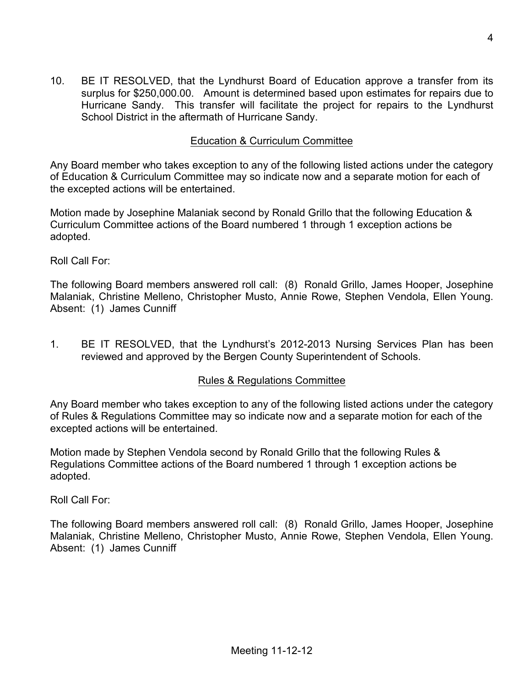10. BE IT RESOLVED, that the Lyndhurst Board of Education approve a transfer from its surplus for \$250,000.00. Amount is determined based upon estimates for repairs due to Hurricane Sandy. This transfer will facilitate the project for repairs to the Lyndhurst School District in the aftermath of Hurricane Sandy.

# Education & Curriculum Committee

Any Board member who takes exception to any of the following listed actions under the category of Education & Curriculum Committee may so indicate now and a separate motion for each of the excepted actions will be entertained.

Motion made by Josephine Malaniak second by Ronald Grillo that the following Education & Curriculum Committee actions of the Board numbered 1 through 1 exception actions be adopted.

Roll Call For:

The following Board members answered roll call: (8) Ronald Grillo, James Hooper, Josephine Malaniak, Christine Melleno, Christopher Musto, Annie Rowe, Stephen Vendola, Ellen Young. Absent: (1) James Cunniff

1. BE IT RESOLVED, that the Lyndhurst's 2012-2013 Nursing Services Plan has been reviewed and approved by the Bergen County Superintendent of Schools.

## Rules & Regulations Committee

Any Board member who takes exception to any of the following listed actions under the category of Rules & Regulations Committee may so indicate now and a separate motion for each of the excepted actions will be entertained.

Motion made by Stephen Vendola second by Ronald Grillo that the following Rules & Regulations Committee actions of the Board numbered 1 through 1 exception actions be adopted.

Roll Call For:

The following Board members answered roll call: (8) Ronald Grillo, James Hooper, Josephine Malaniak, Christine Melleno, Christopher Musto, Annie Rowe, Stephen Vendola, Ellen Young. Absent: (1) James Cunniff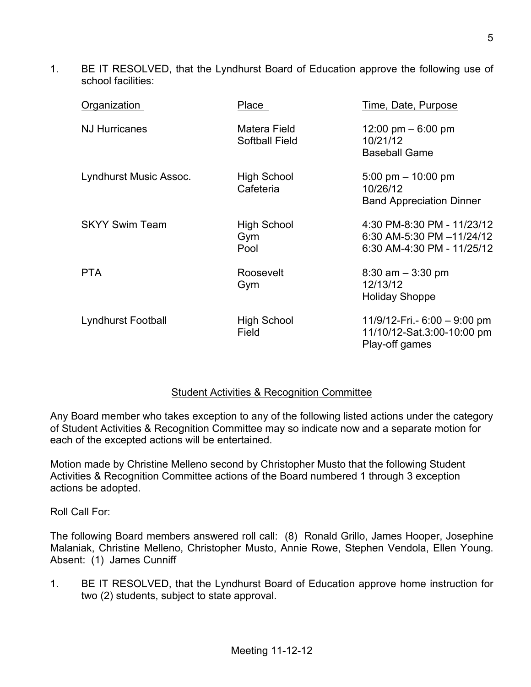1. BE IT RESOLVED, that the Lyndhurst Board of Education approve the following use of school facilities:

| Organization              | Place                                 | Time, Date, Purpose                                                                   |
|---------------------------|---------------------------------------|---------------------------------------------------------------------------------------|
| <b>NJ Hurricanes</b>      | Matera Field<br><b>Softball Field</b> | 12:00 pm $-6:00$ pm<br>10/21/12<br><b>Baseball Game</b>                               |
| Lyndhurst Music Assoc.    | High School<br>Cafeteria              | $5:00 \text{ pm} - 10:00 \text{ pm}$<br>10/26/12<br><b>Band Appreciation Dinner</b>   |
| <b>SKYY Swim Team</b>     | High School<br>Gym<br>Pool            | 4:30 PM-8:30 PM - 11/23/12<br>6:30 AM-5:30 PM -11/24/12<br>6:30 AM-4:30 PM - 11/25/12 |
| <b>PTA</b>                | Roosevelt<br>Gym                      | $8:30$ am $-3:30$ pm<br>12/13/12<br><b>Holiday Shoppe</b>                             |
| <b>Lyndhurst Football</b> | High School<br>Field                  | $11/9/12$ -Fri.- 6:00 - 9:00 pm<br>11/10/12-Sat.3:00-10:00 pm<br>Play-off games       |

## Student Activities & Recognition Committee

Any Board member who takes exception to any of the following listed actions under the category of Student Activities & Recognition Committee may so indicate now and a separate motion for each of the excepted actions will be entertained.

Motion made by Christine Melleno second by Christopher Musto that the following Student Activities & Recognition Committee actions of the Board numbered 1 through 3 exception actions be adopted.

Roll Call For:

The following Board members answered roll call: (8) Ronald Grillo, James Hooper, Josephine Malaniak, Christine Melleno, Christopher Musto, Annie Rowe, Stephen Vendola, Ellen Young. Absent: (1) James Cunniff

1. BE IT RESOLVED, that the Lyndhurst Board of Education approve home instruction for two (2) students, subject to state approval.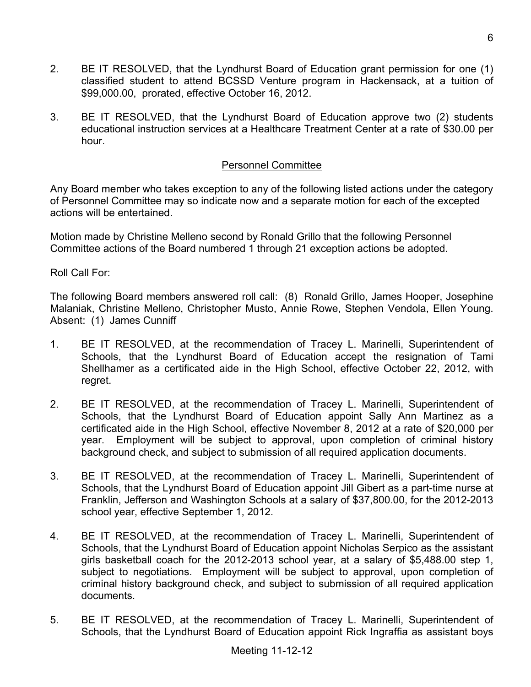- 2. BE IT RESOLVED, that the Lyndhurst Board of Education grant permission for one (1) classified student to attend BCSSD Venture program in Hackensack, at a tuition of \$99,000.00, prorated, effective October 16, 2012.
- 3. BE IT RESOLVED, that the Lyndhurst Board of Education approve two (2) students educational instruction services at a Healthcare Treatment Center at a rate of \$30.00 per hour.

# Personnel Committee

Any Board member who takes exception to any of the following listed actions under the category of Personnel Committee may so indicate now and a separate motion for each of the excepted actions will be entertained.

Motion made by Christine Melleno second by Ronald Grillo that the following Personnel Committee actions of the Board numbered 1 through 21 exception actions be adopted.

Roll Call For:

The following Board members answered roll call: (8) Ronald Grillo, James Hooper, Josephine Malaniak, Christine Melleno, Christopher Musto, Annie Rowe, Stephen Vendola, Ellen Young. Absent: (1) James Cunniff

- 1. BE IT RESOLVED, at the recommendation of Tracey L. Marinelli, Superintendent of Schools, that the Lyndhurst Board of Education accept the resignation of Tami Shellhamer as a certificated aide in the High School, effective October 22, 2012, with regret.
- 2. BE IT RESOLVED, at the recommendation of Tracey L. Marinelli, Superintendent of Schools, that the Lyndhurst Board of Education appoint Sally Ann Martinez as a certificated aide in the High School, effective November 8, 2012 at a rate of \$20,000 per year. Employment will be subject to approval, upon completion of criminal history background check, and subject to submission of all required application documents.
- 3. BE IT RESOLVED, at the recommendation of Tracey L. Marinelli, Superintendent of Schools, that the Lyndhurst Board of Education appoint Jill Gibert as a part-time nurse at Franklin, Jefferson and Washington Schools at a salary of \$37,800.00, for the 2012-2013 school year, effective September 1, 2012.
- 4. BE IT RESOLVED, at the recommendation of Tracey L. Marinelli, Superintendent of Schools, that the Lyndhurst Board of Education appoint Nicholas Serpico as the assistant girls basketball coach for the 2012-2013 school year, at a salary of \$5,488.00 step 1, subject to negotiations. Employment will be subject to approval, upon completion of criminal history background check, and subject to submission of all required application documents.
- 5. BE IT RESOLVED, at the recommendation of Tracey L. Marinelli, Superintendent of Schools, that the Lyndhurst Board of Education appoint Rick Ingraffia as assistant boys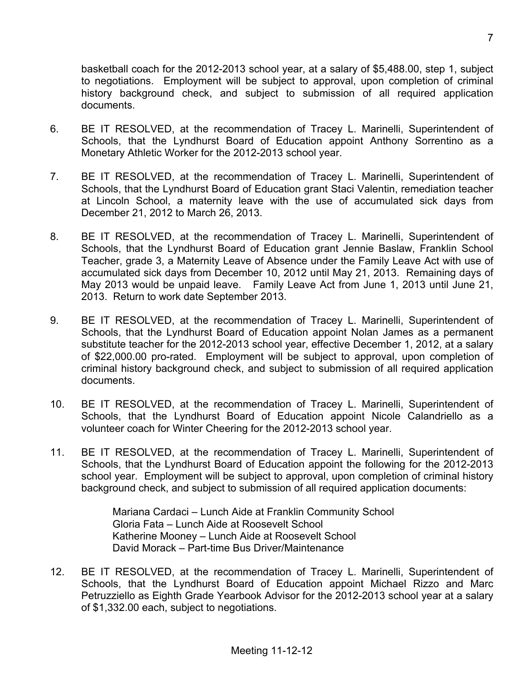basketball coach for the 2012-2013 school year, at a salary of \$5,488.00, step 1, subject to negotiations. Employment will be subject to approval, upon completion of criminal history background check, and subject to submission of all required application documents.

- 6. BE IT RESOLVED, at the recommendation of Tracey L. Marinelli, Superintendent of Schools, that the Lyndhurst Board of Education appoint Anthony Sorrentino as a Monetary Athletic Worker for the 2012-2013 school year.
- 7. BE IT RESOLVED, at the recommendation of Tracey L. Marinelli, Superintendent of Schools, that the Lyndhurst Board of Education grant Staci Valentin, remediation teacher at Lincoln School, a maternity leave with the use of accumulated sick days from December 21, 2012 to March 26, 2013.
- 8. BE IT RESOLVED, at the recommendation of Tracey L. Marinelli, Superintendent of Schools, that the Lyndhurst Board of Education grant Jennie Baslaw, Franklin School Teacher, grade 3, a Maternity Leave of Absence under the Family Leave Act with use of accumulated sick days from December 10, 2012 until May 21, 2013. Remaining days of May 2013 would be unpaid leave. Family Leave Act from June 1, 2013 until June 21, 2013. Return to work date September 2013.
- 9. BE IT RESOLVED, at the recommendation of Tracey L. Marinelli, Superintendent of Schools, that the Lyndhurst Board of Education appoint Nolan James as a permanent substitute teacher for the 2012-2013 school year, effective December 1, 2012, at a salary of \$22,000.00 pro-rated. Employment will be subject to approval, upon completion of criminal history background check, and subject to submission of all required application documents.
- 10. BE IT RESOLVED, at the recommendation of Tracey L. Marinelli, Superintendent of Schools, that the Lyndhurst Board of Education appoint Nicole Calandriello as a volunteer coach for Winter Cheering for the 2012-2013 school year.
- 11. BE IT RESOLVED, at the recommendation of Tracey L. Marinelli, Superintendent of Schools, that the Lyndhurst Board of Education appoint the following for the 2012-2013 school year. Employment will be subject to approval, upon completion of criminal history background check, and subject to submission of all required application documents:

Mariana Cardaci – Lunch Aide at Franklin Community School Gloria Fata – Lunch Aide at Roosevelt School Katherine Mooney – Lunch Aide at Roosevelt School David Morack – Part-time Bus Driver/Maintenance

12. BE IT RESOLVED, at the recommendation of Tracey L. Marinelli, Superintendent of Schools, that the Lyndhurst Board of Education appoint Michael Rizzo and Marc Petruzziello as Eighth Grade Yearbook Advisor for the 2012-2013 school year at a salary of \$1,332.00 each, subject to negotiations.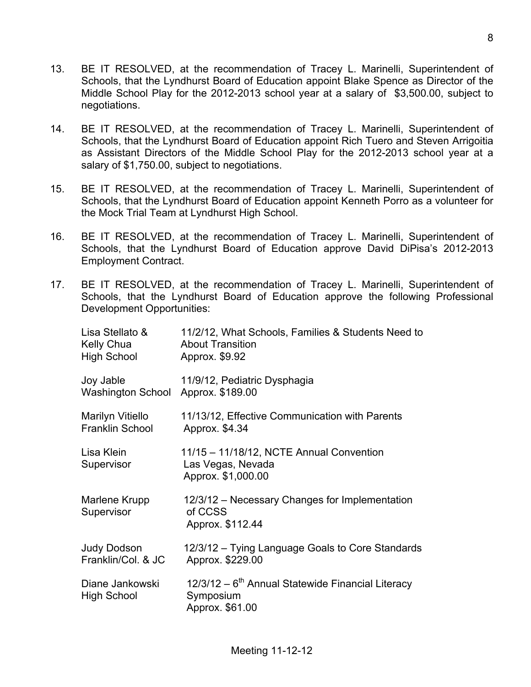- 13. BE IT RESOLVED, at the recommendation of Tracey L. Marinelli, Superintendent of Schools, that the Lyndhurst Board of Education appoint Blake Spence as Director of the Middle School Play for the 2012-2013 school year at a salary of \$3,500.00, subject to negotiations.
- 14. BE IT RESOLVED, at the recommendation of Tracey L. Marinelli, Superintendent of Schools, that the Lyndhurst Board of Education appoint Rich Tuero and Steven Arrigoitia as Assistant Directors of the Middle School Play for the 2012-2013 school year at a salary of \$1,750.00, subject to negotiations.
- 15. BE IT RESOLVED, at the recommendation of Tracey L. Marinelli, Superintendent of Schools, that the Lyndhurst Board of Education appoint Kenneth Porro as a volunteer for the Mock Trial Team at Lyndhurst High School.
- 16. BE IT RESOLVED, at the recommendation of Tracey L. Marinelli, Superintendent of Schools, that the Lyndhurst Board of Education approve David DiPisa's 2012-2013 Employment Contract.
- 17. BE IT RESOLVED, at the recommendation of Tracey L. Marinelli, Superintendent of Schools, that the Lyndhurst Board of Education approve the following Professional Development Opportunities:

| Lisa Stellato &                | 11/2/12, What Schools, Families & Students Need to                                              |
|--------------------------------|-------------------------------------------------------------------------------------------------|
| Kelly Chua                     | <b>About Transition</b>                                                                         |
| <b>High School</b>             | Approx. \$9.92                                                                                  |
| Joy Jable                      | 11/9/12, Pediatric Dysphagia                                                                    |
| <b>Washington School</b>       | Approx. \$189.00                                                                                |
| Marilyn Vitiello               | 11/13/12, Effective Communication with Parents                                                  |
| <b>Franklin School</b>         | Approx. \$4.34                                                                                  |
| Lisa Klein<br>Supervisor       | 11/15 - 11/18/12, NCTE Annual Convention<br>Las Vegas, Nevada<br>Approx. \$1,000.00             |
| Marlene Krupp<br>Supervisor    | 12/3/12 - Necessary Changes for Implementation<br>of CCSS<br>Approx. \$112.44                   |
| <b>Judy Dodson</b>             | 12/3/12 – Tying Language Goals to Core Standards                                                |
| Franklin/Col. & JC             | Approx. \$229.00                                                                                |
| Diane Jankowski<br>High School | $12/3/12 - 6$ <sup>th</sup> Annual Statewide Financial Literacy<br>Symposium<br>Approx. \$61.00 |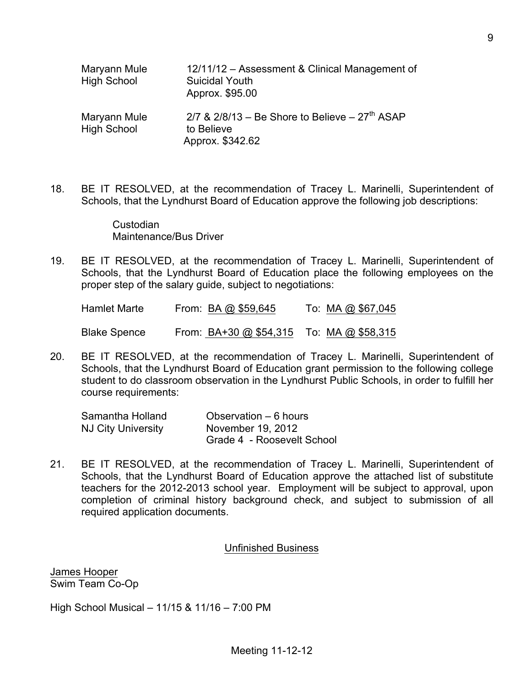| Maryann Mule<br><b>High School</b> | 12/11/12 - Assessment & Clinical Management of<br><b>Suicidal Youth</b><br>Approx. \$95.00 |
|------------------------------------|--------------------------------------------------------------------------------------------|
| Maryann Mule<br><b>High School</b> | 2/7 & $2/8/13$ – Be Shore to Believe – $27th$ ASAP<br>to Believe<br>Approx. \$342.62       |

18. BE IT RESOLVED, at the recommendation of Tracey L. Marinelli, Superintendent of Schools, that the Lyndhurst Board of Education approve the following job descriptions:

> Custodian Maintenance/Bus Driver

19. BE IT RESOLVED, at the recommendation of Tracey L. Marinelli, Superintendent of Schools, that the Lyndhurst Board of Education place the following employees on the proper step of the salary guide, subject to negotiations:

| Hamlet Marte        | From: BA @ $$59,645$    | To: MA @ \$67,045  |
|---------------------|-------------------------|--------------------|
| <b>Blake Spence</b> | From: $BA+30 @ $54,315$ | To: MA @ $$58,315$ |

20. BE IT RESOLVED, at the recommendation of Tracey L. Marinelli, Superintendent of Schools, that the Lyndhurst Board of Education grant permission to the following college student to do classroom observation in the Lyndhurst Public Schools, in order to fulfill her course requirements:

| Samantha Holland   | Observation $-6$ hours     |
|--------------------|----------------------------|
| NJ City University | November 19, 2012          |
|                    | Grade 4 - Roosevelt School |

21. BE IT RESOLVED, at the recommendation of Tracey L. Marinelli, Superintendent of Schools, that the Lyndhurst Board of Education approve the attached list of substitute teachers for the 2012-2013 school year. Employment will be subject to approval, upon completion of criminal history background check, and subject to submission of all required application documents.

Unfinished Business

James Hooper Swim Team Co-Op

High School Musical – 11/15 & 11/16 – 7:00 PM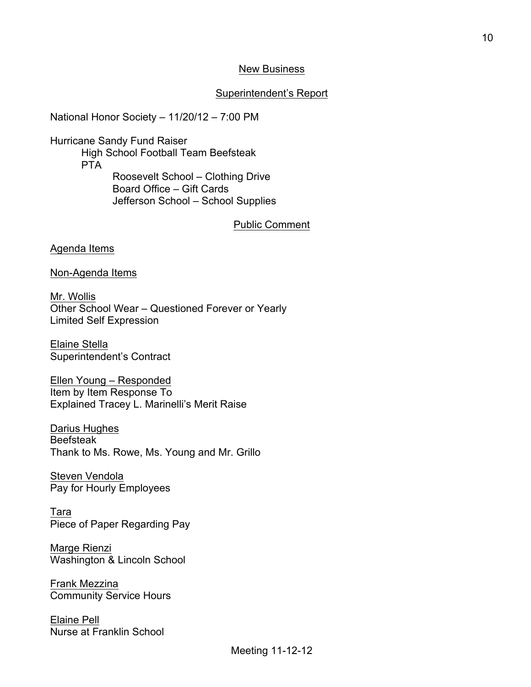## New Business

## Superintendent's Report

National Honor Society – 11/20/12 – 7:00 PM

Hurricane Sandy Fund Raiser High School Football Team Beefsteak PTA Roosevelt School – Clothing Drive Board Office – Gift Cards Jefferson School – School Supplies

Public Comment

Agenda Items

Non-Agenda Items

Mr. Wollis Other School Wear – Questioned Forever or Yearly Limited Self Expression

Elaine Stella Superintendent's Contract

Ellen Young – Responded Item by Item Response To Explained Tracey L. Marinelli's Merit Raise

Darius Hughes Beefsteak Thank to Ms. Rowe, Ms. Young and Mr. Grillo

Steven Vendola Pay for Hourly Employees

Tara Piece of Paper Regarding Pay

Marge Rienzi Washington & Lincoln School

Frank Mezzina Community Service Hours

Elaine Pell Nurse at Franklin School